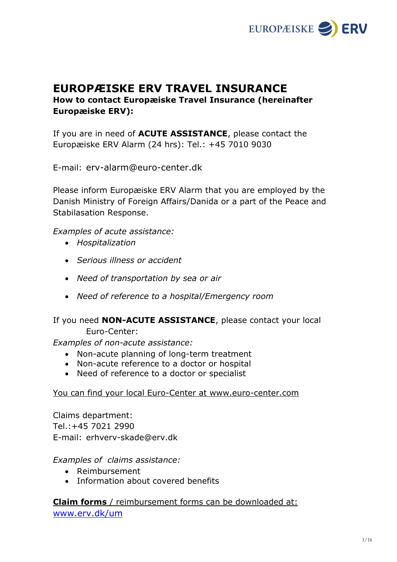

# **EUROPÆISKE ERV TRAVEL INSURANCE How to contact Europæiske Travel Insurance (hereinafter Europæiske ERV):**

If you are in need of **ACUTE ASSISTANCE**, please contact the Europæiske ERV Alarm (24 hrs): Tel.: +45 7010 9030

E-mail: [erv-alarm@euro-center.dk](mailto:erv-alarm@euro-center.dk)

Please inform Europæiske ERV Alarm that you are employed by the Danish Ministry of Foreign Affairs/Danida or a part of the Peace and Stabilasation Response.

*Examples of acute assistance:* 

- *Hospitalization*
- *Serious illness or accident*
- *Need of transportation by sea or air*
- *Need of reference to a hospital/Emergency room*

## If you need **NON-ACUTE ASSISTANCE**, please contact your local Euro-Center:

*Examples of non-acute assistance:* 

- Non-acute planning of long-term treatment
- Non-acute reference to a doctor or hospital
- Need of reference to a doctor or specialist

#### You can find your local Euro-Center at www.euro-center.com

Claims department: Tel.:+45 7021 2990 E-mail: erhverv-skade@erv.dk

#### *Examples of claims assistance:*

- Reimbursement
- Information about covered benefits

**Claim forms** / reimbursement forms can be downloaded at: [www.erv.dk/um](http://www.erv.dk/um)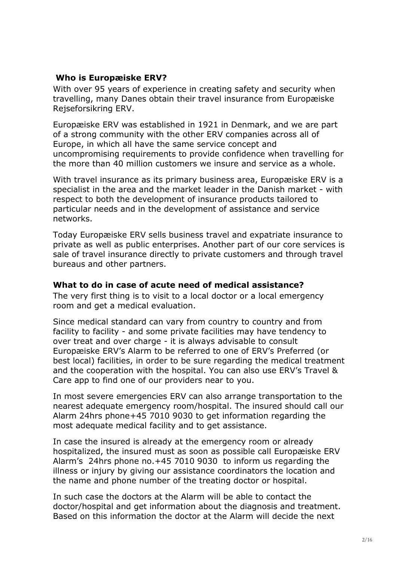### **Who is Europæiske ERV?**

With over 95 years of experience in creating safety and security when travelling, many Danes obtain their travel insurance from Europæiske Rejseforsikring ERV.

Europæiske ERV was established in 1921 in Denmark, and we are part of a strong community with the other ERV companies across all of Europe, in which all have the same service concept and uncompromising requirements to provide confidence when travelling for the more than 40 million customers we insure and service as a whole.

With travel insurance as its primary business area, Europæiske ERV is a specialist in the area and the market leader in the Danish market - with respect to both the development of insurance products tailored to particular needs and in the development of assistance and service networks.

Today Europæiske ERV sells business travel and expatriate insurance to private as well as public enterprises. Another part of our core services is sale of travel insurance directly to private customers and through travel bureaus and other partners.

#### **What to do in case of acute need of medical assistance?**

The very first thing is to visit to a local doctor or a local emergency room and get a medical evaluation.

Since medical standard can vary from country to country and from facility to facility - and some private facilities may have tendency to over treat and over charge - it is always advisable to consult Europæiske ERV's Alarm to be referred to one of ERV's Preferred (or best local) facilities, in order to be sure regarding the medical treatment and the cooperation with the hospital. You can also use ERV's Travel & Care app to find one of our providers near to you.

In most severe emergencies ERV can also arrange transportation to the nearest adequate emergency room/hospital. The insured should call our Alarm 24hrs phone+45 7010 9030 to get information regarding the most adequate medical facility and to get assistance.

In case the insured is already at the emergency room or already hospitalized, the insured must as soon as possible call Europæiske ERV Alarm's 24hrs phone no.+45 7010 9030 to inform us regarding the illness or injury by giving our assistance coordinators the location and the name and phone number of the treating doctor or hospital.

In such case the doctors at the Alarm will be able to contact the doctor/hospital and get information about the diagnosis and treatment. Based on this information the doctor at the Alarm will decide the next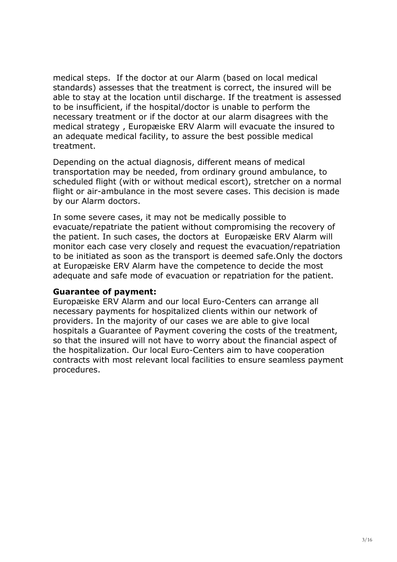medical steps. If the doctor at our Alarm (based on local medical standards) assesses that the treatment is correct, the insured will be able to stay at the location until discharge. If the treatment is assessed to be insufficient, if the hospital/doctor is unable to perform the necessary treatment or if the doctor at our alarm disagrees with the medical strategy , Europæiske ERV Alarm will evacuate the insured to an adequate medical facility, to assure the best possible medical treatment.

Depending on the actual diagnosis, different means of medical transportation may be needed, from ordinary ground ambulance, to scheduled flight (with or without medical escort), stretcher on a normal flight or air-ambulance in the most severe cases. This decision is made by our Alarm doctors.

In some severe cases, it may not be medically possible to evacuate/repatriate the patient without compromising the recovery of the patient. In such cases, the doctors at Europæiske ERV Alarm will monitor each case very closely and request the evacuation/repatriation to be initiated as soon as the transport is deemed safe.Only the doctors at Europæiske ERV Alarm have the competence to decide the most adequate and safe mode of evacuation or repatriation for the patient.

#### **Guarantee of payment:**

Europæiske ERV Alarm and our local Euro-Centers can arrange all necessary payments for hospitalized clients within our network of providers. In the majority of our cases we are able to give local hospitals a Guarantee of Payment covering the costs of the treatment, so that the insured will not have to worry about the financial aspect of the hospitalization. Our local Euro-Centers aim to have cooperation contracts with most relevant local facilities to ensure seamless payment procedures.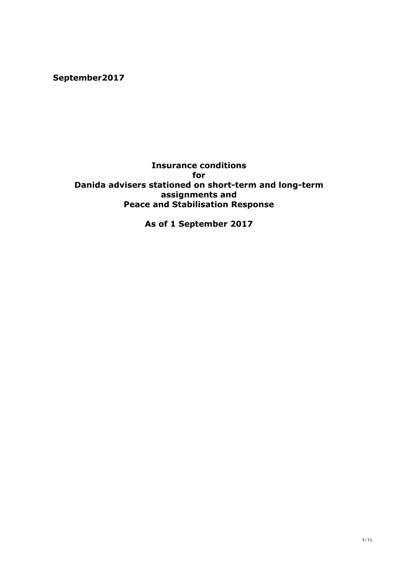**September2017**

### **Insurance conditions for Danida advisers stationed on short-term and long-term assignments and Peace and Stabilisation Response**

**As of 1 September 2017**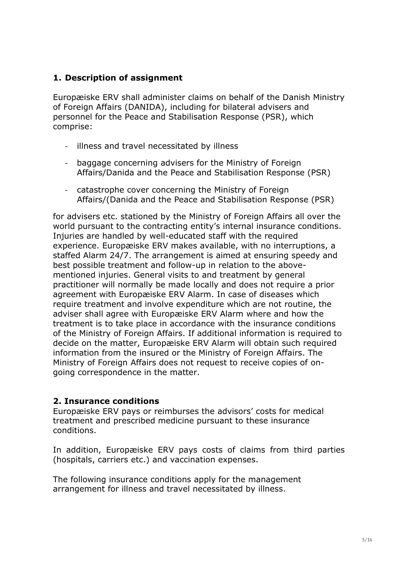## **1. Description of assignment**

Europæiske ERV shall administer claims on behalf of the Danish Ministry of Foreign Affairs (DANIDA), including for bilateral advisers and personnel for the Peace and Stabilisation Response (PSR), which comprise:

- illness and travel necessitated by illness
- baggage concerning advisers for the Ministry of Foreign Affairs/Danida and the Peace and Stabilisation Response (PSR)
- catastrophe cover concerning the Ministry of Foreign Affairs/(Danida and the Peace and Stabilisation Response (PSR)

for advisers etc. stationed by the Ministry of Foreign Affairs all over the world pursuant to the contracting entity's internal insurance conditions. Injuries are handled by well-educated staff with the required experience. Europæiske ERV makes available, with no interruptions, a staffed Alarm 24/7. The arrangement is aimed at ensuring speedy and best possible treatment and follow-up in relation to the abovementioned injuries. General visits to and treatment by general practitioner will normally be made locally and does not require a prior agreement with Europæiske ERV Alarm. In case of diseases which require treatment and involve expenditure which are not routine, the adviser shall agree with Europæiske ERV Alarm where and how the treatment is to take place in accordance with the insurance conditions of the Ministry of Foreign Affairs. If additional information is required to decide on the matter, Europæiske ERV Alarm will obtain such required information from the insured or the Ministry of Foreign Affairs. The Ministry of Foreign Affairs does not request to receive copies of ongoing correspondence in the matter.

## **2. Insurance conditions**

Europæiske ERV pays or reimburses the advisors' costs for medical treatment and prescribed medicine pursuant to these insurance conditions.

In addition, Europæiske ERV pays costs of claims from third parties (hospitals, carriers etc.) and vaccination expenses.

The following insurance conditions apply for the management arrangement for illness and travel necessitated by illness.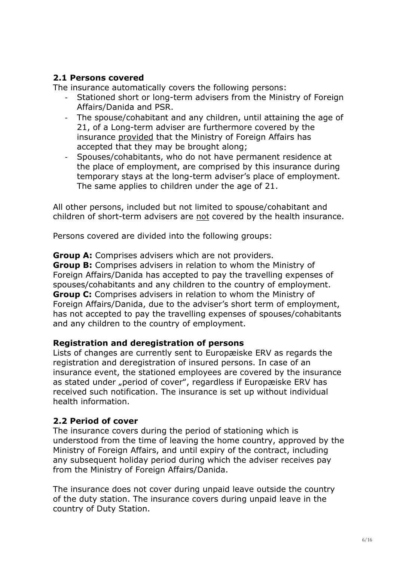## **2.1 Persons covered**

The insurance automatically covers the following persons:

- Stationed short or long-term advisers from the Ministry of Foreign Affairs/Danida and PSR.
- The spouse/cohabitant and any children, until attaining the age of 21, of a Long-term adviser are furthermore covered by the insurance provided that the Ministry of Foreign Affairs has accepted that they may be brought along;
- Spouses/cohabitants, who do not have permanent residence at the place of employment, are comprised by this insurance during temporary stays at the long-term adviser's place of employment. The same applies to children under the age of 21.

All other persons, included but not limited to spouse/cohabitant and children of short-term advisers are not covered by the health insurance.

Persons covered are divided into the following groups:

**Group A:** Comprises advisers which are not providers.

**Group B:** Comprises advisers in relation to whom the Ministry of Foreign Affairs/Danida has accepted to pay the travelling expenses of spouses/cohabitants and any children to the country of employment. **Group C:** Comprises advisers in relation to whom the Ministry of Foreign Affairs/Danida, due to the adviser's short term of employment, has not accepted to pay the travelling expenses of spouses/cohabitants and any children to the country of employment.

#### **Registration and deregistration of persons**

Lists of changes are currently sent to Europæiske ERV as regards the registration and deregistration of insured persons. In case of an insurance event, the stationed employees are covered by the insurance as stated under "period of cover", regardless if Europæiske ERV has received such notification. The insurance is set up without individual health information.

## **2.2 Period of cover**

The insurance covers during the period of stationing which is understood from the time of leaving the home country, approved by the Ministry of Foreign Affairs, and until expiry of the contract, including any subsequent holiday period during which the adviser receives pay from the Ministry of Foreign Affairs/Danida.

The insurance does not cover during unpaid leave outside the country of the duty station. The insurance covers during unpaid leave in the country of Duty Station.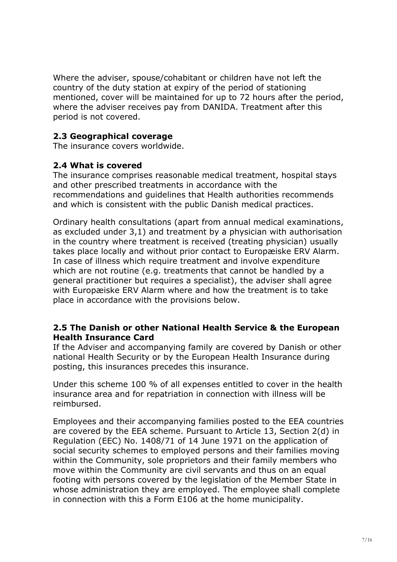Where the adviser, spouse/cohabitant or children have not left the country of the duty station at expiry of the period of stationing mentioned, cover will be maintained for up to 72 hours after the period, where the adviser receives pay from DANIDA. Treatment after this period is not covered.

## **2.3 Geographical coverage**

The insurance covers worldwide.

### **2.4 What is covered**

The insurance comprises reasonable medical treatment, hospital stays and other prescribed treatments in accordance with the recommendations and guidelines that Health authorities recommends and which is consistent with the public Danish medical practices.

Ordinary health consultations (apart from annual medical examinations, as excluded under 3,1) and treatment by a physician with authorisation in the country where treatment is received (treating physician) usually takes place locally and without prior contact to Europæiske ERV Alarm. In case of illness which require treatment and involve expenditure which are not routine (e.g. treatments that cannot be handled by a general practitioner but requires a specialist), the adviser shall agree with Europæiske ERV Alarm where and how the treatment is to take place in accordance with the provisions below.

#### **2.5 The Danish or other National Health Service & the European Health Insurance Card**

If the Adviser and accompanying family are covered by Danish or other national Health Security or by the European Health Insurance during posting, this insurances precedes this insurance.

Under this scheme 100 % of all expenses entitled to cover in the health insurance area and for repatriation in connection with illness will be reimbursed.

Employees and their accompanying families posted to the EEA countries are covered by the EEA scheme. Pursuant to Article 13, Section 2(d) in Regulation (EEC) No. 1408/71 of 14 June 1971 on the application of social security schemes to employed persons and their families moving within the Community, sole proprietors and their family members who move within the Community are civil servants and thus on an equal footing with persons covered by the legislation of the Member State in whose administration they are employed. The employee shall complete in connection with this a Form E106 at the home municipality.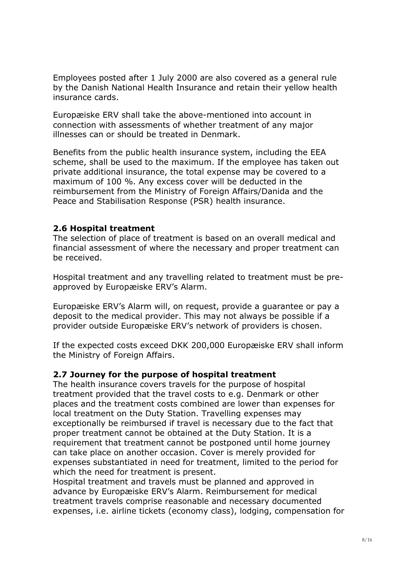Employees posted after 1 July 2000 are also covered as a general rule by the Danish National Health Insurance and retain their yellow health insurance cards.

Europæiske ERV shall take the above-mentioned into account in connection with assessments of whether treatment of any major illnesses can or should be treated in Denmark.

Benefits from the public health insurance system, including the EEA scheme, shall be used to the maximum. If the employee has taken out private additional insurance, the total expense may be covered to a maximum of 100 %. Any excess cover will be deducted in the reimbursement from the Ministry of Foreign Affairs/Danida and the Peace and Stabilisation Response (PSR) health insurance.

### **2.6 Hospital treatment**

The selection of place of treatment is based on an overall medical and financial assessment of where the necessary and proper treatment can be received.

Hospital treatment and any travelling related to treatment must be preapproved by Europæiske ERV's Alarm.

Europæiske ERV's Alarm will, on request, provide a guarantee or pay a deposit to the medical provider. This may not always be possible if a provider outside Europæiske ERV's network of providers is chosen.

If the expected costs exceed DKK 200,000 Europæiske ERV shall inform the Ministry of Foreign Affairs.

#### **2.7 Journey for the purpose of hospital treatment**

The health insurance covers travels for the purpose of hospital treatment provided that the travel costs to e.g. Denmark or other places and the treatment costs combined are lower than expenses for local treatment on the Duty Station. Travelling expenses may exceptionally be reimbursed if travel is necessary due to the fact that proper treatment cannot be obtained at the Duty Station. It is a requirement that treatment cannot be postponed until home journey can take place on another occasion. Cover is merely provided for expenses substantiated in need for treatment, limited to the period for which the need for treatment is present.

Hospital treatment and travels must be planned and approved in advance by Europæiske ERV's Alarm. Reimbursement for medical treatment travels comprise reasonable and necessary documented expenses, i.e. airline tickets (economy class), lodging, compensation for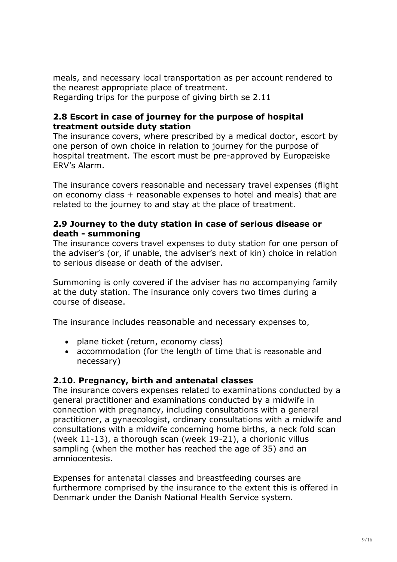meals, and necessary local transportation as per account rendered to the nearest appropriate place of treatment. Regarding trips for the purpose of giving birth se 2.11

### **2.8 Escort in case of journey for the purpose of hospital treatment outside duty station**

The insurance covers, where prescribed by a medical doctor, escort by one person of own choice in relation to journey for the purpose of hospital treatment. The escort must be pre-approved by Europæiske ERV's Alarm.

The insurance covers reasonable and necessary travel expenses (flight on economy class + reasonable expenses to hotel and meals) that are related to the journey to and stay at the place of treatment.

### **2.9 Journey to the duty station in case of serious disease or death - summoning**

The insurance covers travel expenses to duty station for one person of the adviser's (or, if unable, the adviser's next of kin) choice in relation to serious disease or death of the adviser.

Summoning is only covered if the adviser has no accompanying family at the duty station. The insurance only covers two times during a course of disease.

The insurance includes reasonable and necessary expenses to,

- plane ticket (return, economy class)
- accommodation (for the length of time that is reasonable and necessary)

## **2.10. Pregnancy, birth and antenatal classes**

The insurance covers expenses related to examinations conducted by a general practitioner and examinations conducted by a midwife in connection with pregnancy, including consultations with a general practitioner, a gynaecologist, ordinary consultations with a midwife and consultations with a midwife concerning home births, a neck fold scan (week 11-13), a thorough scan (week 19-21), a chorionic villus sampling (when the mother has reached the age of 35) and an amniocentesis.

Expenses for antenatal classes and breastfeeding courses are furthermore comprised by the insurance to the extent this is offered in Denmark under the Danish National Health Service system.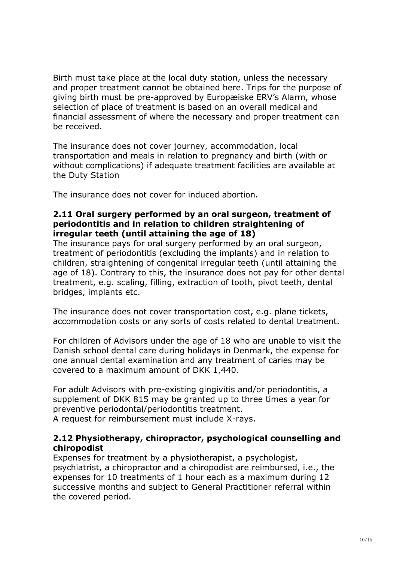Birth must take place at the local duty station, unless the necessary and proper treatment cannot be obtained here. Trips for the purpose of giving birth must be pre-approved by Europæiske ERV's Alarm, whose selection of place of treatment is based on an overall medical and financial assessment of where the necessary and proper treatment can be received.

The insurance does not cover journey, accommodation, local transportation and meals in relation to pregnancy and birth (with or without complications) if adequate treatment facilities are available at the Duty Station

The insurance does not cover for induced abortion.

### **2.11 Oral surgery performed by an oral surgeon, treatment of periodontitis and in relation to children straightening of irregular teeth (until attaining the age of 18)**

The insurance pays for oral surgery performed by an oral surgeon, treatment of periodontitis (excluding the implants) and in relation to children, straightening of congenital irregular teeth (until attaining the age of 18). Contrary to this, the insurance does not pay for other dental treatment, e.g. scaling, filling, extraction of tooth, pivot teeth, dental bridges, implants etc.

The insurance does not cover transportation cost, e.g. plane tickets, accommodation costs or any sorts of costs related to dental treatment.

For children of Advisors under the age of 18 who are unable to visit the Danish school dental care during holidays in Denmark, the expense for one annual dental examination and any treatment of caries may be covered to a maximum amount of DKK 1,440.

For adult Advisors with pre-existing gingivitis and/or periodontitis, a supplement of DKK 815 may be granted up to three times a year for preventive periodontal/periodontitis treatment.

A request for reimbursement must include X-rays.

#### **2.12 Physiotherapy, chiropractor, psychological counselling and chiropodist**

Expenses for treatment by a physiotherapist, a psychologist, psychiatrist, a chiropractor and a chiropodist are reimbursed, i.e., the expenses for 10 treatments of 1 hour each as a maximum during 12 successive months and subject to General Practitioner referral within the covered period.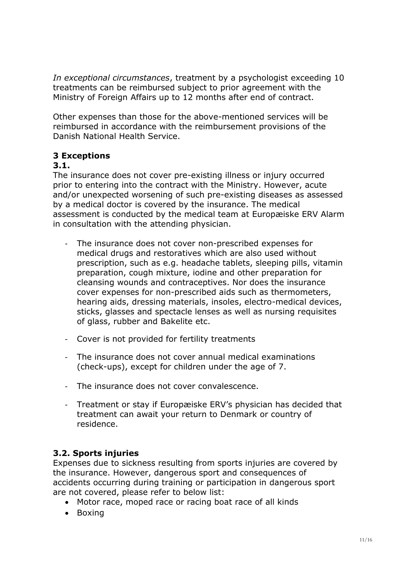*In exceptional circumstances*, treatment by a psychologist exceeding 10 treatments can be reimbursed subject to prior agreement with the Ministry of Foreign Affairs up to 12 months after end of contract.

Other expenses than those for the above-mentioned services will be reimbursed in accordance with the reimbursement provisions of the Danish National Health Service.

# **3 Exceptions**

### **3.1.**

The insurance does not cover pre-existing illness or injury occurred prior to entering into the contract with the Ministry. However, acute and/or unexpected worsening of such pre-existing diseases as assessed by a medical doctor is covered by the insurance. The medical assessment is conducted by the medical team at Europæiske ERV Alarm in consultation with the attending physician.

- The insurance does not cover non-prescribed expenses for medical drugs and restoratives which are also used without prescription, such as e.g. headache tablets, sleeping pills, vitamin preparation, cough mixture, iodine and other preparation for cleansing wounds and contraceptives. Nor does the insurance cover expenses for non-prescribed aids such as thermometers, hearing aids, dressing materials, insoles, electro-medical devices, sticks, glasses and spectacle lenses as well as nursing requisites of glass, rubber and Bakelite etc.
- Cover is not provided for fertility treatments
- The insurance does not cover annual medical examinations (check-ups), except for children under the age of 7.
- The insurance does not cover convalescence.
- Treatment or stay if Europæiske ERV's physician has decided that treatment can await your return to Denmark or country of residence.

## **3.2. Sports injuries**

Expenses due to sickness resulting from sports injuries are covered by the insurance. However, dangerous sport and consequences of accidents occurring during training or participation in dangerous sport are not covered, please refer to below list:

- Motor race, moped race or racing boat race of all kinds
- Boxing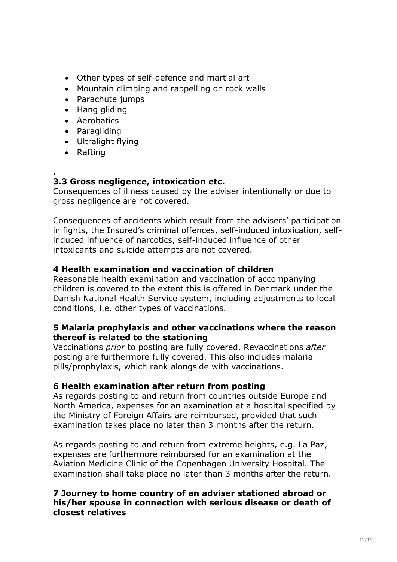- Other types of self-defence and martial art
- Mountain climbing and rappelling on rock walls
- Parachute jumps
- Hang gliding
- Aerobatics
- Paragliding
- Ultralight flying
- Rafting

#### . **3.3 Gross negligence, intoxication etc.**

Consequences of illness caused by the adviser intentionally or due to gross negligence are not covered.

Consequences of accidents which result from the advisers' participation in fights, the Insured's criminal offences, self-induced intoxication, selfinduced influence of narcotics, self-induced influence of other intoxicants and suicide attempts are not covered.

## **4 Health examination and vaccination of children**

Reasonable health examination and vaccination of accompanying children is covered to the extent this is offered in Denmark under the Danish National Health Service system, including adjustments to local conditions, i.e. other types of vaccinations.

#### **5 Malaria prophylaxis and other vaccinations where the reason thereof is related to the stationing**

Vaccinations *prior* to posting are fully covered. Revaccinations *after*  posting are furthermore fully covered. This also includes malaria pills/prophylaxis, which rank alongside with vaccinations.

## **6 Health examination after return from posting**

As regards posting to and return from countries outside Europe and North America, expenses for an examination at a hospital specified by the Ministry of Foreign Affairs are reimbursed, provided that such examination takes place no later than 3 months after the return.

As regards posting to and return from extreme heights, e.g. La Paz, expenses are furthermore reimbursed for an examination at the Aviation Medicine Clinic of the Copenhagen University Hospital. The examination shall take place no later than 3 months after the return.

### **7 Journey to home country of an adviser stationed abroad or his/her spouse in connection with serious disease or death of closest relatives**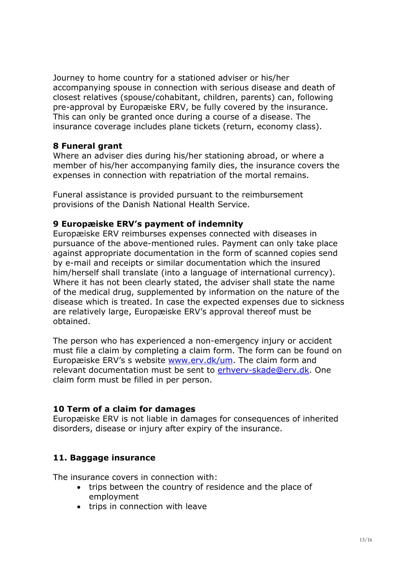Journey to home country for a stationed adviser or his/her accompanying spouse in connection with serious disease and death of closest relatives (spouse/cohabitant, children, parents) can, following pre-approval by Europæiske ERV, be fully covered by the insurance. This can only be granted once during a course of a disease. The insurance coverage includes plane tickets (return, economy class).

### **8 Funeral grant**

Where an adviser dies during his/her stationing abroad, or where a member of his/her accompanying family dies, the insurance covers the expenses in connection with repatriation of the mortal remains.

Funeral assistance is provided pursuant to the reimbursement provisions of the Danish National Health Service.

### **9 Europæiske ERV's payment of indemnity**

Europæiske ERV reimburses expenses connected with diseases in pursuance of the above-mentioned rules. Payment can only take place against appropriate documentation in the form of scanned copies send by e-mail and receipts or similar documentation which the insured him/herself shall translate (into a language of international currency). Where it has not been clearly stated, the adviser shall state the name of the medical drug, supplemented by information on the nature of the disease which is treated. In case the expected expenses due to sickness are relatively large, Europæiske ERV's approval thereof must be obtained.

The person who has experienced a non-emergency injury or accident must file a claim by completing a claim form. The form can be found on Europæiske ERV's s website [www.erv.dk/um.](http://www.erv.dk/um) The claim form and relevant documentation must be sent to erhvery-skade@erv.dk. One claim form must be filled in per person.

## **10 Term of a claim for damages**

Europæiske ERV is not liable in damages for consequences of inherited disorders, disease or injury after expiry of the insurance.

## **11. Baggage insurance**

The insurance covers in connection with:

- trips between the country of residence and the place of employment
- trips in connection with leave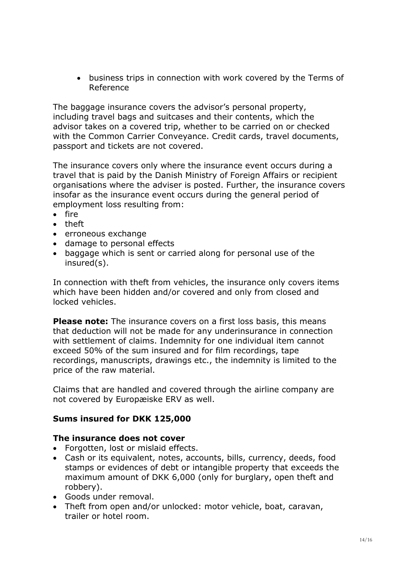business trips in connection with work covered by the Terms of Reference

The baggage insurance covers the advisor's personal property, including travel bags and suitcases and their contents, which the advisor takes on a covered trip, whether to be carried on or checked with the Common Carrier Conveyance. Credit cards, travel documents, passport and tickets are not covered.

The insurance covers only where the insurance event occurs during a travel that is paid by the Danish Ministry of Foreign Affairs or recipient organisations where the adviser is posted. Further, the insurance covers insofar as the insurance event occurs during the general period of employment loss resulting from:

- fire
- theft
- erroneous exchange
- damage to personal effects
- baggage which is sent or carried along for personal use of the insured(s).

In connection with theft from vehicles, the insurance only covers items which have been hidden and/or covered and only from closed and locked vehicles.

**Please note:** The insurance covers on a first loss basis, this means that deduction will not be made for any underinsurance in connection with settlement of claims. Indemnity for one individual item cannot exceed 50% of the sum insured and for film recordings, tape recordings, manuscripts, drawings etc., the indemnity is limited to the price of the raw material.

Claims that are handled and covered through the airline company are not covered by Europæiske ERV as well.

#### **Sums insured for DKK 125,000**

#### **The insurance does not cover**

- Forgotten, lost or mislaid effects.
- Cash or its equivalent, notes, accounts, bills, currency, deeds, food stamps or evidences of debt or intangible property that exceeds the maximum amount of DKK 6,000 (only for burglary, open theft and robbery).
- Goods under removal.
- Theft from open and/or unlocked: motor vehicle, boat, caravan, trailer or hotel room.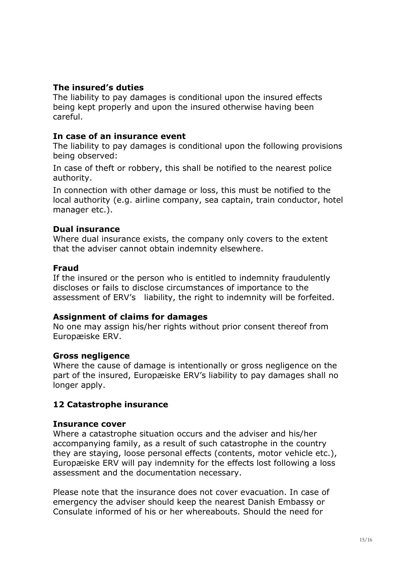### **The insured's duties**

The liability to pay damages is conditional upon the insured effects being kept properly and upon the insured otherwise having been careful.

#### **In case of an insurance event**

The liability to pay damages is conditional upon the following provisions being observed:

In case of theft or robbery, this shall be notified to the nearest police authority.

In connection with other damage or loss, this must be notified to the local authority (e.g. airline company, sea captain, train conductor, hotel manager etc.).

#### **Dual insurance**

Where dual insurance exists, the company only covers to the extent that the adviser cannot obtain indemnity elsewhere.

#### **Fraud**

If the insured or the person who is entitled to indemnity fraudulently discloses or fails to disclose circumstances of importance to the assessment of ERV's liability, the right to indemnity will be forfeited.

#### **Assignment of claims for damages**

No one may assign his/her rights without prior consent thereof from Europæiske ERV.

#### **Gross negligence**

Where the cause of damage is intentionally or gross negligence on the part of the insured, Europæiske ERV's liability to pay damages shall no longer apply.

## **12 Catastrophe insurance**

#### **Insurance cover**

Where a catastrophe situation occurs and the adviser and his/her accompanying family, as a result of such catastrophe in the country they are staying, loose personal effects (contents, motor vehicle etc.), Europæiske ERV will pay indemnity for the effects lost following a loss assessment and the documentation necessary.

Please note that the insurance does not cover evacuation. In case of emergency the adviser should keep the nearest Danish Embassy or Consulate informed of his or her whereabouts. Should the need for